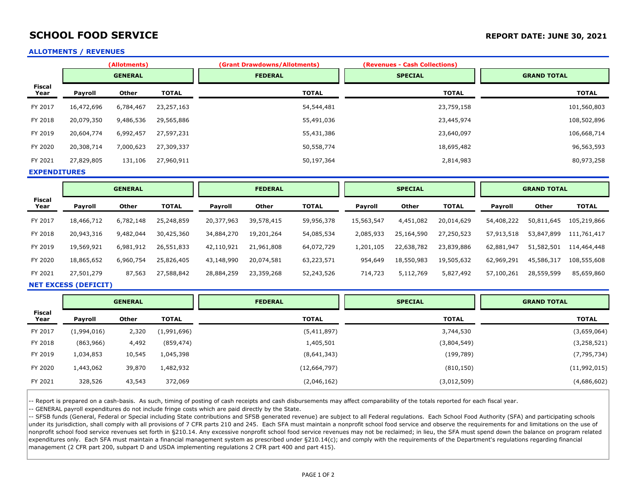## **SCHOOL FOOD SERVICE** *REPORT DATE: JUNE 30, 2021*

### **ALLOTMENTS / REVENUES**

|                       |                | (Allotments) |              | (Grant Drawdowns/Allotments) | (Revenues - Cash Collections) |                    |  |
|-----------------------|----------------|--------------|--------------|------------------------------|-------------------------------|--------------------|--|
|                       | <b>GENERAL</b> |              |              | <b>FEDERAL</b>               |                               | <b>GRAND TOTAL</b> |  |
| <b>Fiscal</b><br>Year | Payroll        | Other        | <b>TOTAL</b> | <b>TOTAL</b>                 | <b>TOTAL</b>                  | <b>TOTAL</b>       |  |
| FY 2017               | 16,472,696     | 6,784,467    | 23,257,163   | 54,544,481                   | 23,759,158                    | 101,560,803        |  |
| FY 2018               | 20,079,350     | 9,486,536    | 29,565,886   | 55,491,036                   | 23,445,974                    | 108,502,896        |  |
| FY 2019               | 20,604,774     | 6,992,457    | 27,597,231   | 55,431,386                   | 23,640,097                    | 106,668,714        |  |
| FY 2020               | 20,308,714     | 7,000,623    | 27,309,337   | 50,558,774                   | 18,695,482                    | 96,563,593         |  |
| FY 2021               | 27,829,805     | 131,106      | 27,960,911   | 50,197,364                   | 2,814,983                     | 80,973,258         |  |

**EXPENDITURES**

|                | <b>GENERAL</b> |           |              | <b>FEDERAL</b> |            | <b>SPECIAL</b> |                |              | <b>GRAND TOTAL</b> |            |            |              |
|----------------|----------------|-----------|--------------|----------------|------------|----------------|----------------|--------------|--------------------|------------|------------|--------------|
| Fiscal<br>Year | <b>Payroll</b> | Other     | <b>TOTAL</b> | <b>Payroll</b> | Other      | <b>TOTAL</b>   | <b>Payroll</b> | <b>Other</b> | <b>TOTAL</b>       | Payroll    | Other      | <b>TOTAL</b> |
| FY 2017        | 18,466,712     | 6,782,148 | 25,248,859   | 20,377,963     | 39,578,415 | 59,956,378     | 15,563,547     | 4,451,082    | 20,014,629         | 54,408,222 | 50,811,645 | 105,219,866  |
| FY 2018        | 20,943,316     | 9,482,044 | 30,425,360   | 34,884,270     | 19,201,264 | 54,085,534     | 2,085,933      | 25,164,590   | 27,250,523         | 57,913,518 | 53,847,899 | 111,761,417  |
| FY 2019        | 19,569,921     | 6,981,912 | 26,551,833   | 42,110,921     | 21,961,808 | 64,072,729     | 1,201,105      | 22,638,782   | 23,839,886         | 62,881,947 | 51,582,501 | 114,464,448  |
| FY 2020        | 18,865,652     | 6,960,754 | 25,826,405   | 43,148,990     | 20,074,581 | 63,223,571     | 954,649        | 18,550,983   | 19,505,632         | 62,969,291 | 45,586,317 | 108,555,608  |
| FY 2021        | 27,501,279     | 87,563    | 27,588,842   | 28,884,259     | 23,359,268 | 52,243,526     | 714,723        | 5,112,769    | 5,827,492          | 57,100,261 | 28,559,599 | 85,659,860   |

#### **NET EXCESS (DEFICIT)**

|                       | <b>GENERAL</b> |        |              | <b>FEDERAL</b> | <b>SPECIAL</b> | <b>GRAND TOTAL</b> |  |
|-----------------------|----------------|--------|--------------|----------------|----------------|--------------------|--|
| <b>Fiscal</b><br>Year | <b>Payroll</b> | Other  | <b>TOTAL</b> | <b>TOTAL</b>   | <b>TOTAL</b>   | <b>TOTAL</b>       |  |
| FY 2017               | (1,994,016)    | 2,320  | (1,991,696)  | (5,411,897)    | 3,744,530      | (3,659,064)        |  |
| FY 2018               | (863,966)      | 4,492  | (859, 474)   | 1,405,501      | (3,804,549)    | (3, 258, 521)      |  |
| FY 2019               | 1,034,853      | 10,545 | 1,045,398    | (8,641,343)    | (199,789)      | (7, 795, 734)      |  |
| FY 2020               | 1,443,062      | 39,870 | 1,482,932    | (12,664,797)   | (810, 150)     | (11,992,015)       |  |
| FY 2021               | 328,526        | 43,543 | 372,069      | (2,046,162)    | (3,012,509)    | (4,686,602)        |  |

- Report is prepared on a cash-basis. As such, timing of posting of cash receipts and cash disbursements may affect comparability of the totals reported for each fiscal year.

-- GENERAL payroll expenditures do not include fringe costs which are paid directly by the State.

-- SFSB funds (General, Federal or Special including State contributions and SFSB generated revenue) are subject to all Federal regulations. Each School Food Authority (SFA) and participating schools under its jurisdiction, shall comply with all provisions of 7 CFR parts 210 and 245. Each SFA must maintain a nonprofit school food service and observe the requirements for and limitations on the use of nonprofit school food service revenues set forth in §210.14. Any excessive nonprofit school food service revenues may not be reclaimed; in lieu, the SFA must spend down the balance on program related expenditures only. Each SFA must maintain a financial management system as prescribed under §210.14(c); and comply with the requirements of the Department's regulations regarding financial management (2 CFR part 200, subpart D and USDA implementing regulations 2 CFR part 400 and part 415).